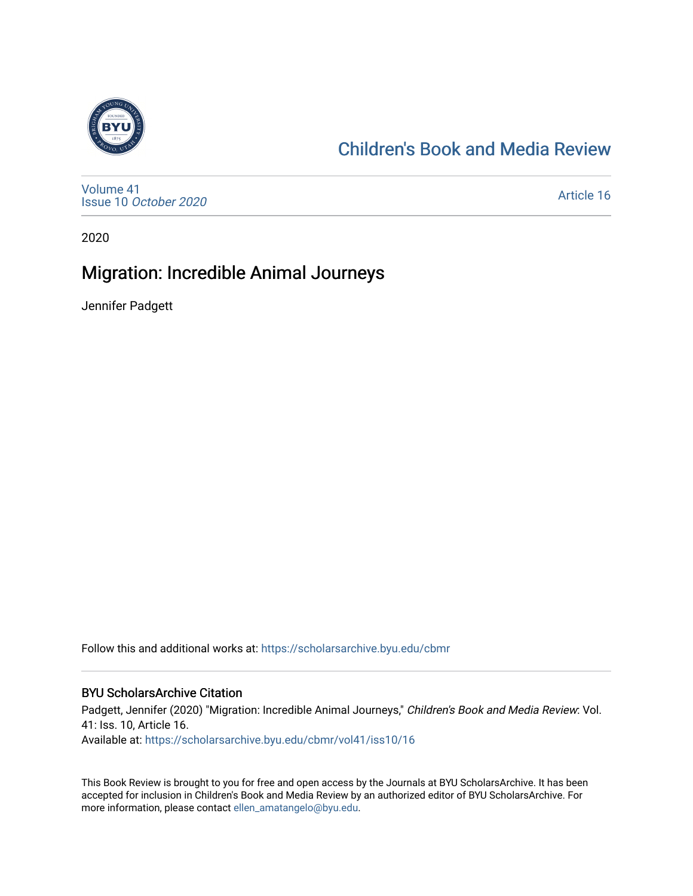

## [Children's Book and Media Review](https://scholarsarchive.byu.edu/cbmr)

[Volume 41](https://scholarsarchive.byu.edu/cbmr/vol41) Issue 10 [October 2020](https://scholarsarchive.byu.edu/cbmr/vol41/iss10)

[Article 16](https://scholarsarchive.byu.edu/cbmr/vol41/iss10/16) 

2020

### Migration: Incredible Animal Journeys

Jennifer Padgett

Follow this and additional works at: [https://scholarsarchive.byu.edu/cbmr](https://scholarsarchive.byu.edu/cbmr?utm_source=scholarsarchive.byu.edu%2Fcbmr%2Fvol41%2Fiss10%2F16&utm_medium=PDF&utm_campaign=PDFCoverPages) 

#### BYU ScholarsArchive Citation

Padgett, Jennifer (2020) "Migration: Incredible Animal Journeys," Children's Book and Media Review: Vol. 41: Iss. 10, Article 16. Available at: [https://scholarsarchive.byu.edu/cbmr/vol41/iss10/16](https://scholarsarchive.byu.edu/cbmr/vol41/iss10/16?utm_source=scholarsarchive.byu.edu%2Fcbmr%2Fvol41%2Fiss10%2F16&utm_medium=PDF&utm_campaign=PDFCoverPages) 

This Book Review is brought to you for free and open access by the Journals at BYU ScholarsArchive. It has been accepted for inclusion in Children's Book and Media Review by an authorized editor of BYU ScholarsArchive. For more information, please contact [ellen\\_amatangelo@byu.edu.](mailto:ellen_amatangelo@byu.edu)